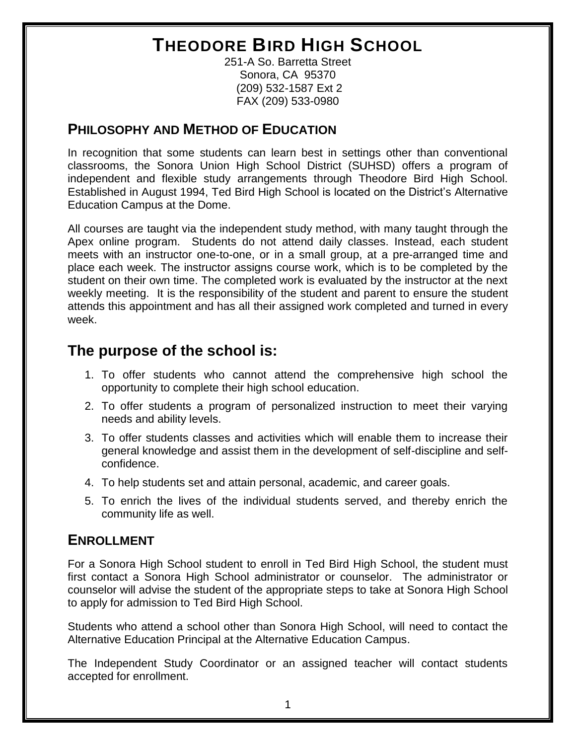## **THEODORE BIRD HIGH SCHOOL**

251-A So. Barretta Street Sonora, CA 95370 (209) 532-1587 Ext 2 FAX (209) 533-0980

#### **PHILOSOPHY AND METHOD OF EDUCATION**

In recognition that some students can learn best in settings other than conventional classrooms, the Sonora Union High School District (SUHSD) offers a program of independent and flexible study arrangements through Theodore Bird High School. Established in August 1994, Ted Bird High School is located on the District's Alternative Education Campus at the Dome.

All courses are taught via the independent study method, with many taught through the Apex online program. Students do not attend daily classes. Instead, each student meets with an instructor one-to-one, or in a small group, at a pre-arranged time and place each week. The instructor assigns course work, which is to be completed by the student on their own time. The completed work is evaluated by the instructor at the next weekly meeting. It is the responsibility of the student and parent to ensure the student attends this appointment and has all their assigned work completed and turned in every week.

#### **The purpose of the school is:**

- 1. To offer students who cannot attend the comprehensive high school the opportunity to complete their high school education.
- 2. To offer students a program of personalized instruction to meet their varying needs and ability levels.
- 3. To offer students classes and activities which will enable them to increase their general knowledge and assist them in the development of self-discipline and selfconfidence.
- 4. To help students set and attain personal, academic, and career goals.
- 5. To enrich the lives of the individual students served, and thereby enrich the community life as well.

#### **ENROLLMENT**

For a Sonora High School student to enroll in Ted Bird High School, the student must first contact a Sonora High School administrator or counselor. The administrator or counselor will advise the student of the appropriate steps to take at Sonora High School to apply for admission to Ted Bird High School.

Students who attend a school other than Sonora High School, will need to contact the Alternative Education Principal at the Alternative Education Campus.

The Independent Study Coordinator or an assigned teacher will contact students accepted for enrollment.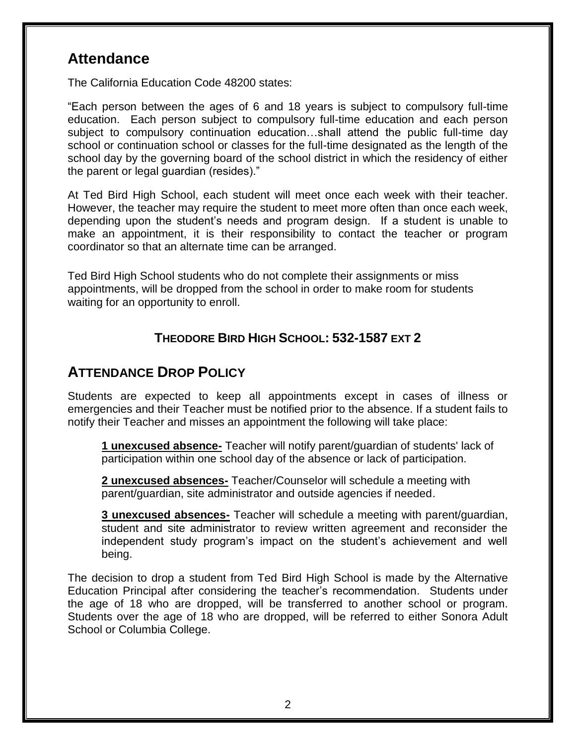#### **Attendance**

The California Education Code 48200 states:

"Each person between the ages of 6 and 18 years is subject to compulsory full-time education. Each person subject to compulsory full-time education and each person subject to compulsory continuation education…shall attend the public full-time day school or continuation school or classes for the full-time designated as the length of the school day by the governing board of the school district in which the residency of either the parent or legal guardian (resides)."

At Ted Bird High School, each student will meet once each week with their teacher. However, the teacher may require the student to meet more often than once each week, depending upon the student's needs and program design. If a student is unable to make an appointment, it is their responsibility to contact the teacher or program coordinator so that an alternate time can be arranged.

Ted Bird High School students who do not complete their assignments or miss appointments, will be dropped from the school in order to make room for students waiting for an opportunity to enroll.

#### **THEODORE BIRD HIGH SCHOOL: 532-1587 EXT 2**

#### **ATTENDANCE DROP POLICY**

Students are expected to keep all appointments except in cases of illness or emergencies and their Teacher must be notified prior to the absence. If a student fails to notify their Teacher and misses an appointment the following will take place:

**1 unexcused absence-** Teacher will notify parent/guardian of students' lack of participation within one school day of the absence or lack of participation.

**2 unexcused absences-** Teacher/Counselor will schedule a meeting with parent/guardian, site administrator and outside agencies if needed.

**3 unexcused absences-** Teacher will schedule a meeting with parent/guardian, student and site administrator to review written agreement and reconsider the independent study program's impact on the student's achievement and well being.

The decision to drop a student from Ted Bird High School is made by the Alternative Education Principal after considering the teacher's recommendation. Students under the age of 18 who are dropped, will be transferred to another school or program. Students over the age of 18 who are dropped, will be referred to either Sonora Adult School or Columbia College.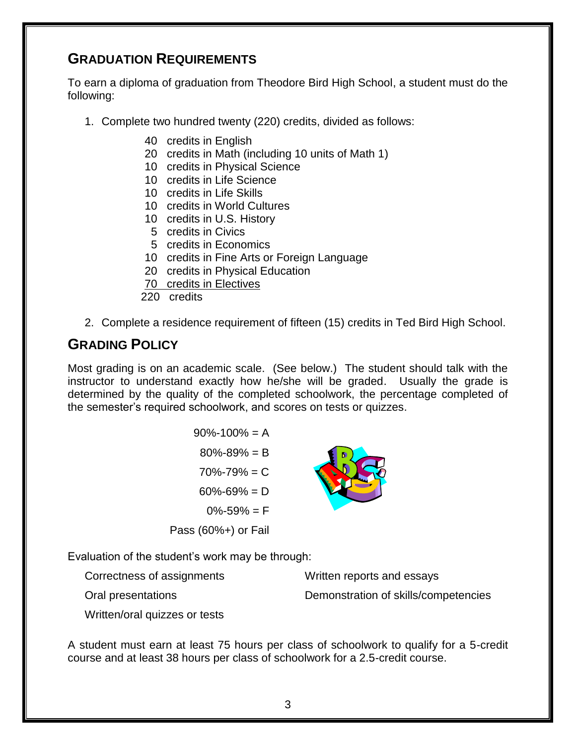#### **GRADUATION REQUIREMENTS**

To earn a diploma of graduation from Theodore Bird High School, a student must do the following:

- 1. Complete two hundred twenty (220) credits, divided as follows:
	- 40 credits in English
	- 20 credits in Math (including 10 units of Math 1)
	- 10 credits in Physical Science
	- 10 credits in Life Science
	- 10 credits in Life Skills
	- 10 credits in World Cultures
	- 10 credits in U.S. History
	- 5 credits in Civics
	- 5 credits in Economics
	- 10 credits in Fine Arts or Foreign Language
	- 20 credits in Physical Education
	- 70 credits in Electives
	- 220 credits
- 2. Complete a residence requirement of fifteen (15) credits in Ted Bird High School.

#### **GRADING POLICY**

Most grading is on an academic scale. (See below.) The student should talk with the instructor to understand exactly how he/she will be graded. Usually the grade is determined by the quality of the completed schoolwork, the percentage completed of the semester's required schoolwork, and scores on tests or quizzes.

| $90\% - 100\% = A$     |  |
|------------------------|--|
| $80\% - 89\% = B$      |  |
| $70\% - 79\% = C$      |  |
| $60\% - 69\% = D$      |  |
| $0\% - 59\% = F$       |  |
| Pass $(60\%+)$ or Fail |  |

Evaluation of the student's work may be through:

Correctness of assignments

Oral presentations

Written reports and essays Demonstration of skills/competencies

Written/oral quizzes or tests

A student must earn at least 75 hours per class of schoolwork to qualify for a 5-credit course and at least 38 hours per class of schoolwork for a 2.5-credit course.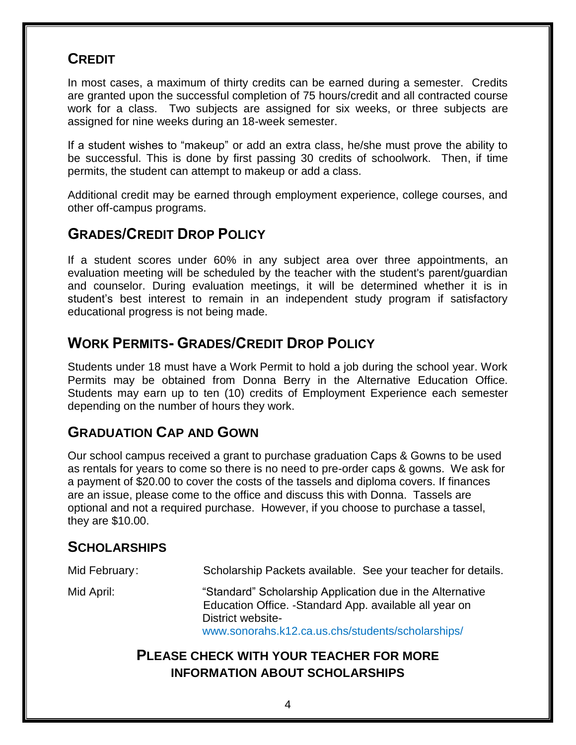#### **CREDIT**

In most cases, a maximum of thirty credits can be earned during a semester. Credits are granted upon the successful completion of 75 hours/credit and all contracted course work for a class. Two subjects are assigned for six weeks, or three subjects are assigned for nine weeks during an 18-week semester.

If a student wishes to "makeup" or add an extra class, he/she must prove the ability to be successful. This is done by first passing 30 credits of schoolwork. Then, if time permits, the student can attempt to makeup or add a class.

Additional credit may be earned through employment experience, college courses, and other off-campus programs.

#### **GRADES/CREDIT DROP POLICY**

If a student scores under 60% in any subject area over three appointments, an evaluation meeting will be scheduled by the teacher with the student's parent/guardian and counselor. During evaluation meetings, it will be determined whether it is in student's best interest to remain in an independent study program if satisfactory educational progress is not being made.

#### **WORK PERMITS- GRADES/CREDIT DROP POLICY**

Students under 18 must have a Work Permit to hold a job during the school year. Work Permits may be obtained from Donna Berry in the Alternative Education Office. Students may earn up to ten (10) credits of Employment Experience each semester depending on the number of hours they work.

#### **GRADUATION CAP AND GOWN**

Our school campus received a grant to purchase graduation Caps & Gowns to be used as rentals for years to come so there is no need to pre-order caps & gowns. We ask for a payment of \$20.00 to cover the costs of the tassels and diploma covers. If finances are an issue, please come to the office and discuss this with Donna. Tassels are optional and not a required purchase. However, if you choose to purchase a tassel, they are \$10.00.

#### **SCHOLARSHIPS**

Mid February: Scholarship Packets available. See your teacher for details. Mid April: "Standard" Scholarship Application due in the Alternative Education Office. -Standard App. available all year on District websitewww.sonorahs.k12.ca.us.chs/students/scholarships/

#### **PLEASE CHECK WITH YOUR TEACHER FOR MORE INFORMATION ABOUT SCHOLARSHIPS**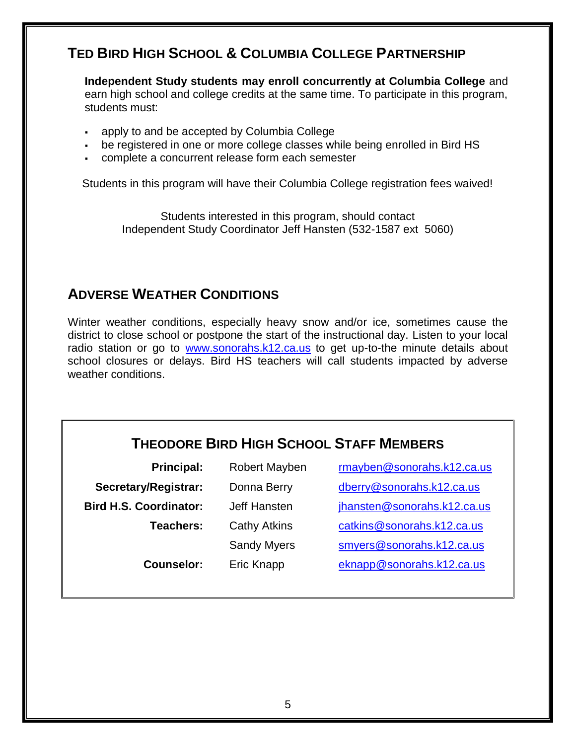#### **TED BIRD HIGH SCHOOL & COLUMBIA COLLEGE PARTNERSHIP**

**Independent Study students may enroll concurrently at Columbia College** and earn high school and college credits at the same time. To participate in this program, students must:

- apply to and be accepted by Columbia College
- be registered in one or more college classes while being enrolled in Bird HS
- complete a concurrent release form each semester

Students in this program will have their Columbia College registration fees waived!

Students interested in this program, should contact Independent Study Coordinator Jeff Hansten (532-1587 ext 5060)

#### **ADVERSE WEATHER CONDITIONS**

Winter weather conditions, especially heavy snow and/or ice, sometimes cause the district to close school or postpone the start of the instructional day. Listen to your local radio station or go to [www.sonorahs.k12.ca.us](http://www.sonorahs.k12.ca.us/) to get up-to-the minute details about school closures or delays. Bird HS teachers will call students impacted by adverse weather conditions.

### **THEODORE BIRD HIGH SCHOOL STAFF MEMBERS**

| <b>Principal:</b>             | <b>Robert Mayben</b> | rmayben@sonorahs.k12.ca.us  |
|-------------------------------|----------------------|-----------------------------|
| Secretary/Registrar:          | Donna Berry          | dberry@sonorahs.k12.ca.us   |
| <b>Bird H.S. Coordinator:</b> | Jeff Hansten         | jhansten@sonorahs.k12.ca.us |
| Teachers:                     | <b>Cathy Atkins</b>  | catkins@sonorahs.k12.ca.us  |
|                               | <b>Sandy Myers</b>   | smyers@sonorahs.k12.ca.us   |
| <b>Counselor:</b>             | Eric Knapp           | eknapp@sonorahs.k12.ca.us   |
|                               |                      |                             |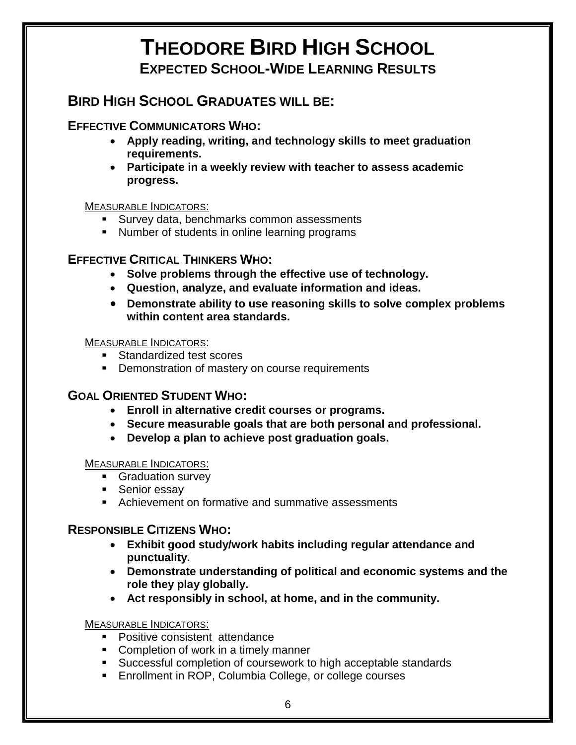### **THEODORE BIRD HIGH SCHOOL EXPECTED SCHOOL-WIDE LEARNING RESULTS**

### **BIRD HIGH SCHOOL GRADUATES WILL BE:**

#### **EFFECTIVE COMMUNICATORS WHO:**

- **Apply reading, writing, and technology skills to meet graduation requirements.**
- **Participate in a weekly review with teacher to assess academic progress.**

#### MEASURABLE INDICATORS:

- **Survey data, benchmarks common assessments**
- **Number of students in online learning programs**

#### **EFFECTIVE CRITICAL THINKERS WHO:**

- **Solve problems through the effective use of technology.**
- **Question, analyze, and evaluate information and ideas.**
- **Demonstrate ability to use reasoning skills to solve complex problems within content area standards.**

MEASURABLE INDICATORS:

- Standardized test scores
- **•** Demonstration of mastery on course requirements

#### **GOAL ORIENTED STUDENT WHO:**

- **Enroll in alternative credit courses or programs.**
- **Secure measurable goals that are both personal and professional.**
- **Develop a plan to achieve post graduation goals.**

#### MEASURABLE INDICATORS:

- **Graduation survey**
- Senior essay
- **EXEC** Achievement on formative and summative assessments

#### **RESPONSIBLE CITIZENS WHO:**

- **Exhibit good study/work habits including regular attendance and punctuality.**
- **Demonstrate understanding of political and economic systems and the role they play globally.**
- **Act responsibly in school, at home, and in the community.**

#### MEASURABLE INDICATORS:

- **Positive consistent attendance**
- Completion of work in a timely manner
- Successful completion of coursework to high acceptable standards
- Enrollment in ROP, Columbia College, or college courses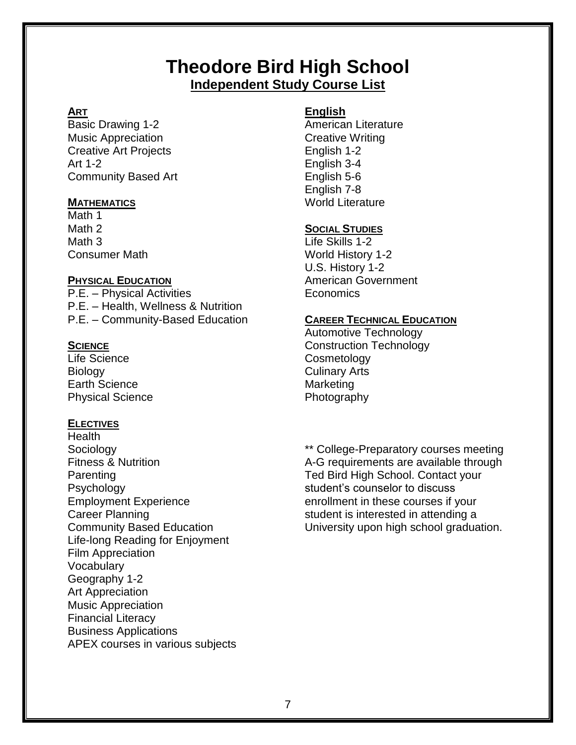#### **Theodore Bird High School Independent Study Course List**

#### **ART**

Basic Drawing 1-2 Music Appreciation Creative Art Projects Art 1-2 Community Based Art

#### **MATHEMATICS**

Math 1 Math 2 Math 3 Consumer Math

#### **PHYSICAL EDUCATION**

P.E. – Physical Activities P.E. – Health, Wellness & Nutrition P.E. – Community-Based Education

#### **SCIENCE**

Life Science **Biology** Earth Science Physical Science

#### **ELECTIVES**

Health Sociology Fitness & Nutrition **Parenting** Psychology Employment Experience Career Planning Community Based Education Life-long Reading for Enjoyment Film Appreciation Vocabulary Geography 1-2 Art Appreciation Music Appreciation Financial Literacy Business Applications APEX courses in various subjects

#### **English**

American Literature Creative Writing English 1-2 English 3-4 English 5-6 English 7-8 World Literature

#### **SOCIAL STUDIES**

Life Skills 1-2 World History 1-2 U.S. History 1-2 American Government Economics

#### **CAREER TECHNICAL EDUCATION**

Automotive Technology Construction Technology **Cosmetology** Culinary Arts **Marketing** Photography

\*\* College-Preparatory courses meeting A-G requirements are available through Ted Bird High School. Contact your student's counselor to discuss enrollment in these courses if your student is interested in attending a University upon high school graduation.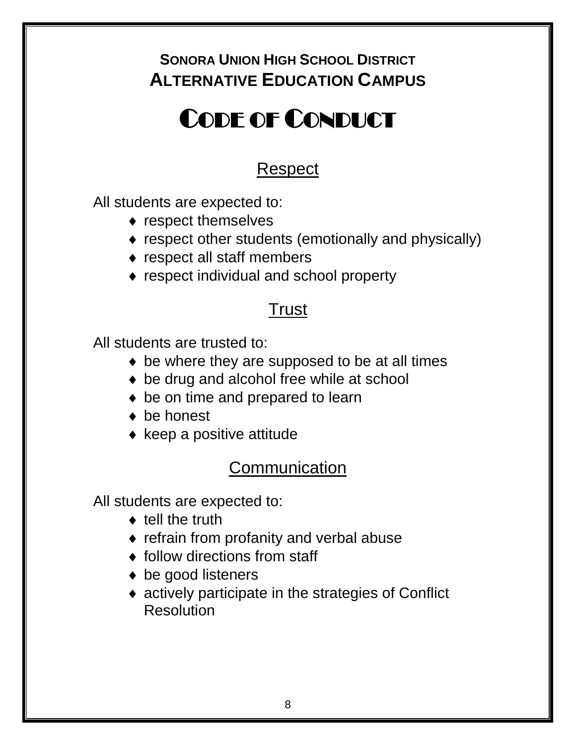### **SONORA UNION HIGH SCHOOL DISTRICT ALTERNATIVE EDUCATION CAMPUS**

# CODE OF CONDUCT

## Respect

All students are expected to:

- $\bullet$  respect themselves
- respect other students (emotionally and physically)
- respect all staff members
- ◆ respect individual and school property

### **Trust**

All students are trusted to:

- ◆ be where they are supposed to be at all times
- ◆ be drug and alcohol free while at school
- ◆ be on time and prepared to learn
- ◆ be honest
- $\bullet$  keep a positive attitude

### **Communication**

All students are expected to:

- $\bullet$  tell the truth
- refrain from profanity and verbal abuse
- ◆ follow directions from staff
- ◆ be good listeners
- actively participate in the strategies of Conflict **Resolution**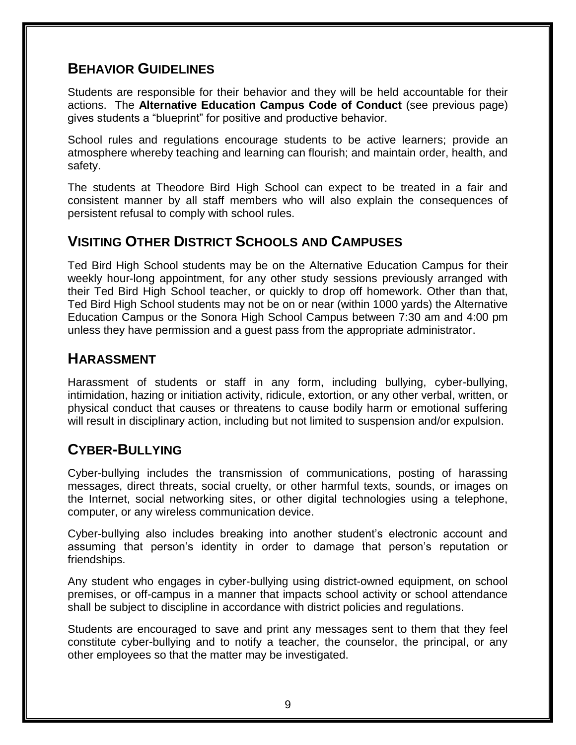#### **BEHAVIOR GUIDELINES**

Students are responsible for their behavior and they will be held accountable for their actions. The **Alternative Education Campus Code of Conduct** (see previous page) gives students a "blueprint" for positive and productive behavior.

School rules and regulations encourage students to be active learners; provide an atmosphere whereby teaching and learning can flourish; and maintain order, health, and safety.

The students at Theodore Bird High School can expect to be treated in a fair and consistent manner by all staff members who will also explain the consequences of persistent refusal to comply with school rules.

#### **VISITING OTHER DISTRICT SCHOOLS AND CAMPUSES**

Ted Bird High School students may be on the Alternative Education Campus for their weekly hour-long appointment, for any other study sessions previously arranged with their Ted Bird High School teacher, or quickly to drop off homework. Other than that, Ted Bird High School students may not be on or near (within 1000 yards) the Alternative Education Campus or the Sonora High School Campus between 7:30 am and 4:00 pm unless they have permission and a guest pass from the appropriate administrator.

#### **HARASSMENT**

Harassment of students or staff in any form, including bullying, cyber-bullying, intimidation, hazing or initiation activity, ridicule, extortion, or any other verbal, written, or physical conduct that causes or threatens to cause bodily harm or emotional suffering will result in disciplinary action, including but not limited to suspension and/or expulsion.

#### **CYBER-BULLYING**

Cyber-bullying includes the transmission of communications, posting of harassing messages, direct threats, social cruelty, or other harmful texts, sounds, or images on the Internet, social networking sites, or other digital technologies using a telephone, computer, or any wireless communication device.

Cyber-bullying also includes breaking into another student's electronic account and assuming that person's identity in order to damage that person's reputation or friendships.

Any student who engages in cyber-bullying using district-owned equipment, on school premises, or off-campus in a manner that impacts school activity or school attendance shall be subject to discipline in accordance with district policies and regulations.

Students are encouraged to save and print any messages sent to them that they feel constitute cyber-bullying and to notify a teacher, the counselor, the principal, or any other employees so that the matter may be investigated.